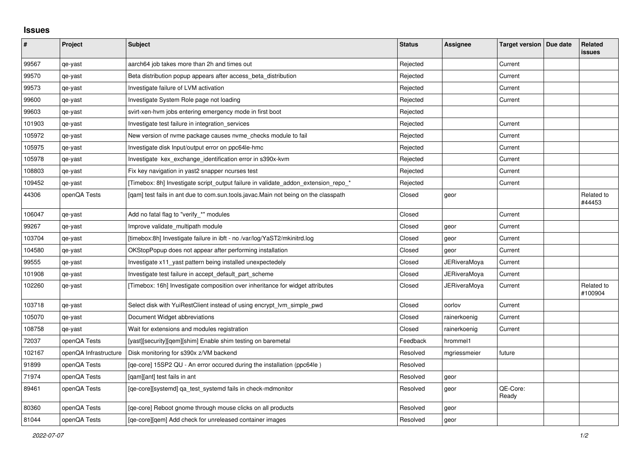## **Issues**

| $\pmb{\#}$ | Project               | Subject                                                                            | <b>Status</b> | Assignee     | Target version   Due date | Related<br><b>issues</b> |
|------------|-----------------------|------------------------------------------------------------------------------------|---------------|--------------|---------------------------|--------------------------|
| 99567      | qe-yast               | aarch64 job takes more than 2h and times out                                       | Rejected      |              | Current                   |                          |
| 99570      | qe-yast               | Beta distribution popup appears after access_beta_distribution                     | Rejected      |              | Current                   |                          |
| 99573      | qe-yast               | Investigate failure of LVM activation                                              | Rejected      |              | Current                   |                          |
| 99600      | qe-yast               | Investigate System Role page not loading                                           | Rejected      |              | Current                   |                          |
| 99603      | qe-yast               | svirt-xen-hvm jobs entering emergency mode in first boot                           | Rejected      |              |                           |                          |
| 101903     | qe-yast               | Investigate test failure in integration_services                                   | Rejected      |              | Current                   |                          |
| 105972     | qe-yast               | New version of nyme package causes nyme checks module to fail                      | Rejected      |              | Current                   |                          |
| 105975     | qe-yast               | Investigate disk Input/output error on ppc64le-hmc                                 | Rejected      |              | Current                   |                          |
| 105978     | qe-yast               | Investigate kex_exchange_identification error in s390x-kvm                         | Rejected      |              | Current                   |                          |
| 108803     | qe-yast               | Fix key navigation in yast2 snapper ncurses test                                   | Rejected      |              | Current                   |                          |
| 109452     | qe-yast               | [Timebox: 8h] Investigate script output failure in validate addon extension repo * | Rejected      |              | Current                   |                          |
| 44306      | openQA Tests          | [qam] test fails in ant due to com.sun.tools.javac.Main not being on the classpath | Closed        | geor         |                           | Related to<br>#44453     |
| 106047     | qe-yast               | Add no fatal flag to "verify_*" modules                                            | Closed        |              | Current                   |                          |
| 99267      | qe-yast               | Improve validate multipath module                                                  | Closed        | geor         | Current                   |                          |
| 103704     | qe-yast               | [timebox:8h] Investigate failure in ibft - no /var/log/YaST2/mkinitrd.log          | Closed        | geor         | Current                   |                          |
| 104580     | qe-yast               | OKStopPopup does not appear after performing installation                          | Closed        | geor         | Current                   |                          |
| 99555      | qe-yast               | Investigate x11_yast pattern being installed unexpectedely                         | Closed        | JERiveraMoya | Current                   |                          |
| 101908     | qe-yast               | Investigate test failure in accept default part scheme                             | Closed        | JERiveraMoya | Current                   |                          |
| 102260     | qe-yast               | [Timebox: 16h] Investigate composition over inheritance for widget attributes      | Closed        | JERiveraMoya | Current                   | Related to<br>#100904    |
| 103718     | qe-yast               | Select disk with YuiRestClient instead of using encrypt_lvm_simple_pwd             | Closed        | oorlov       | Current                   |                          |
| 105070     | qe-yast               | Document Widget abbreviations                                                      | Closed        | rainerkoenig | Current                   |                          |
| 108758     | qe-yast               | Wait for extensions and modules registration                                       | Closed        | rainerkoenig | Current                   |                          |
| 72037      | openQA Tests          | [yast][security][qem][shim] Enable shim testing on baremetal                       | Feedback      | hrommel1     |                           |                          |
| 102167     | openQA Infrastructure | Disk monitoring for s390x z/VM backend                                             | Resolved      | mgriessmeier | future                    |                          |
| 91899      | openQA Tests          | [ge-core] 15SP2 QU - An error occured during the installation (ppc64le)            | Resolved      |              |                           |                          |
| 71974      | openQA Tests          | [gam][ant] test fails in ant                                                       | Resolved      | geor         |                           |                          |
| 89461      | openQA Tests          | [qe-core][systemd] qa_test_systemd fails in check-mdmonitor                        | Resolved      | geor         | QE-Core:<br>Ready         |                          |
| 80360      | openQA Tests          | [qe-core] Reboot gnome through mouse clicks on all products                        | Resolved      | geor         |                           |                          |
| 81044      | openQA Tests          | [ge-core][gem] Add check for unreleased container images                           | Resolved      | geor         |                           |                          |